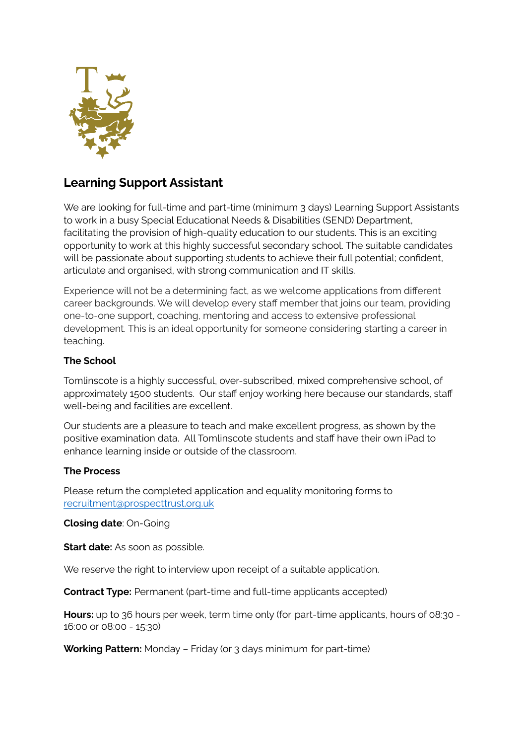

## **Learning Support Assistant**

We are looking for full-time and part-time (minimum 3 days) Learning Support Assistants to work in a busy Special Educational Needs & Disabilities (SEND) Department, facilitating the provision of high-quality education to our students. This is an exciting opportunity to work at this highly successful secondary school. The suitable candidates will be passionate about supporting students to achieve their full potential; confident, articulate and organised, with strong communication and IT skills.

Experience will not be a determining fact, as we welcome applications from different career backgrounds. We will develop every staff member that joins our team, providing one-to-one support, coaching, mentoring and access to extensive professional development. This is an ideal opportunity for someone considering starting a career in teaching.

## **The School**

Tomlinscote is a highly successful, over-subscribed, mixed comprehensive school, of approximately 1500 students. Our staff enjoy working here because our standards, staff well-being and facilities are excellent.

Our students are a pleasure to teach and make excellent progress, as shown by the positive examination data. All Tomlinscote students and staff have their own iPad to enhance learning inside or outside of the classroom.

## **The Process**

Please return the completed application and equality monitoring forms to [recruitment@prospecttrust.org.uk](mailto:recruitment@prospecttrust.org.uk)

**Closing date**: On-Going

**Start date:** As soon as possible.

We reserve the right to interview upon receipt of a suitable application.

**Contract Type:** Permanent (part-time and full-time applicants accepted)

**Hours:** up to 36 hours per week, term time only (for part-time applicants, hours of 08:30 - 16:00 or 08:00 - 15:30)

**Working Pattern:** Monday – Friday (or 3 days minimum for part-time)